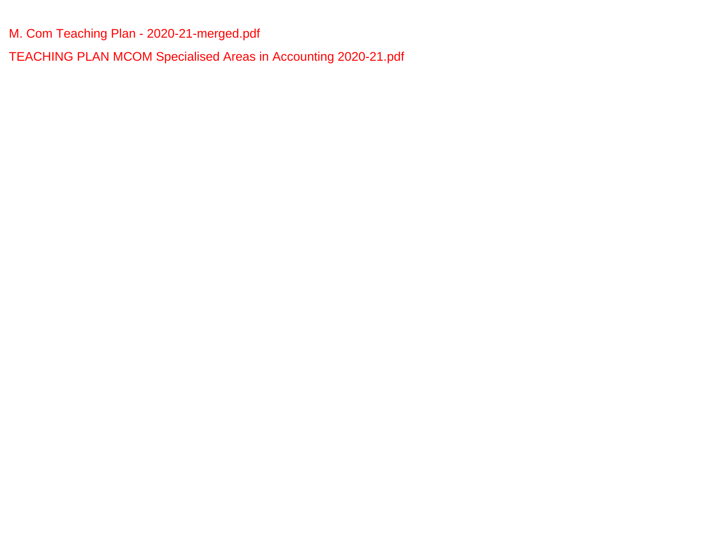[M. Com Teaching Plan - 2020-21-merged.pdf](#page-1-0)

[TEACHING PLAN MCOM Specialised Areas in Accounting 2020-21.pdf](#page-17-0)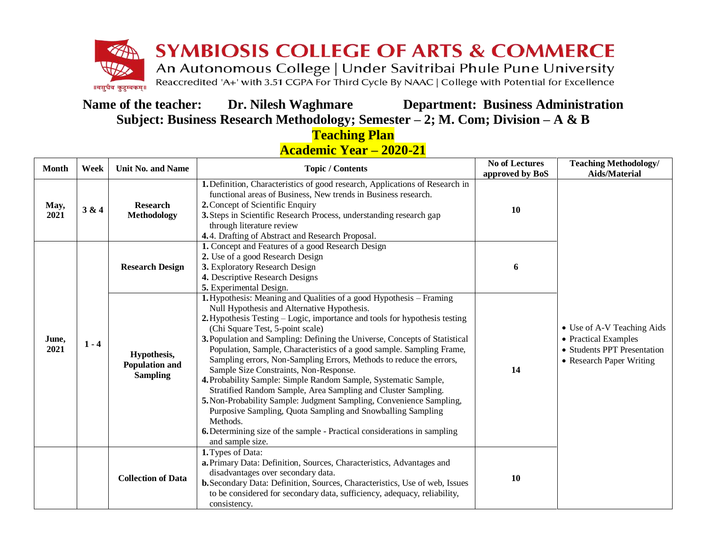<span id="page-1-0"></span>

**Name of the teacher: Dr. Nilesh Waghmare Department: Business Administration Subject: Business Research Methodology; Semester – 2; M. Com; Division – A & B**

> **Teaching Plan Academic Year – 2020-21**

| Week<br><b>Unit No. and Name</b><br><b>Month</b> |       |                                                         | <b>Topic / Contents</b>                                                                                                                                                                                                                                                                                                                                                                                                                                                                                                                                                                                                                                                                                                                                                                                                                                                                                   | <b>No of Lectures</b> | <b>Teaching Methodology/</b>                                                                                  |
|--------------------------------------------------|-------|---------------------------------------------------------|-----------------------------------------------------------------------------------------------------------------------------------------------------------------------------------------------------------------------------------------------------------------------------------------------------------------------------------------------------------------------------------------------------------------------------------------------------------------------------------------------------------------------------------------------------------------------------------------------------------------------------------------------------------------------------------------------------------------------------------------------------------------------------------------------------------------------------------------------------------------------------------------------------------|-----------------------|---------------------------------------------------------------------------------------------------------------|
|                                                  |       |                                                         |                                                                                                                                                                                                                                                                                                                                                                                                                                                                                                                                                                                                                                                                                                                                                                                                                                                                                                           | approved by BoS       | <b>Aids/Material</b>                                                                                          |
| May,<br>2021                                     | 3 & 4 | <b>Research</b><br><b>Methodology</b>                   | 1. Definition, Characteristics of good research, Applications of Research in<br>functional areas of Business, New trends in Business research.<br>2. Concept of Scientific Enquiry<br>3. Steps in Scientific Research Process, understanding research gap<br>through literature review<br>4.4. Drafting of Abstract and Research Proposal.                                                                                                                                                                                                                                                                                                                                                                                                                                                                                                                                                                | 10                    |                                                                                                               |
|                                                  |       | <b>Research Design</b>                                  | 1. Concept and Features of a good Research Design<br>2. Use of a good Research Design<br>3. Exploratory Research Design<br>4. Descriptive Research Designs<br>5. Experimental Design.                                                                                                                                                                                                                                                                                                                                                                                                                                                                                                                                                                                                                                                                                                                     | 6                     |                                                                                                               |
| June,<br>$1 - 4$<br>2021                         |       | Hypothesis,<br><b>Population and</b><br><b>Sampling</b> | 1. Hypothesis: Meaning and Qualities of a good Hypothesis – Framing<br>Null Hypothesis and Alternative Hypothesis.<br>2. Hypothesis Testing – Logic, importance and tools for hypothesis testing<br>(Chi Square Test, 5-point scale)<br>3. Population and Sampling: Defining the Universe, Concepts of Statistical<br>Population, Sample, Characteristics of a good sample. Sampling Frame,<br>Sampling errors, Non-Sampling Errors, Methods to reduce the errors,<br>Sample Size Constraints, Non-Response.<br>4. Probability Sample: Simple Random Sample, Systematic Sample,<br>Stratified Random Sample, Area Sampling and Cluster Sampling.<br>5. Non-Probability Sample: Judgment Sampling, Convenience Sampling,<br>Purposive Sampling, Quota Sampling and Snowballing Sampling<br>Methods.<br><b>6.</b> Determining size of the sample - Practical considerations in sampling<br>and sample size. | 14                    | • Use of A-V Teaching Aids<br>• Practical Examples<br>• Students PPT Presentation<br>• Research Paper Writing |
|                                                  |       | <b>Collection of Data</b>                               | 1. Types of Data:<br>a. Primary Data: Definition, Sources, Characteristics, Advantages and<br>disadvantages over secondary data.<br>b. Secondary Data: Definition, Sources, Characteristics, Use of web, Issues<br>to be considered for secondary data, sufficiency, adequacy, reliability,<br>consistency.                                                                                                                                                                                                                                                                                                                                                                                                                                                                                                                                                                                               | 10                    |                                                                                                               |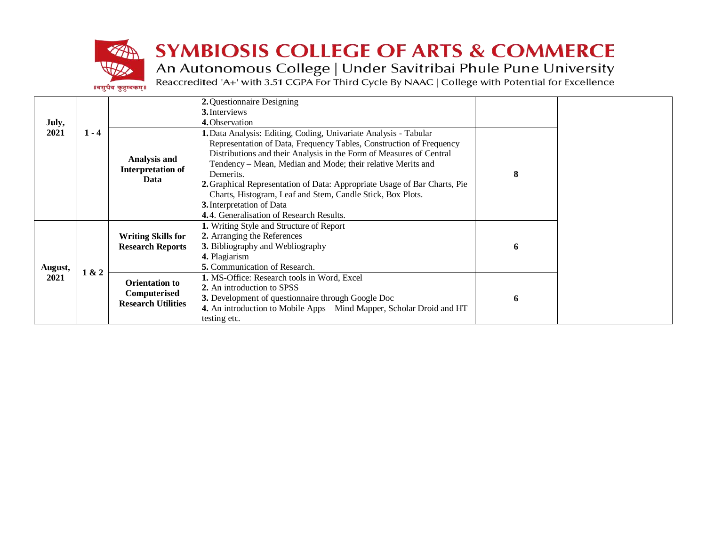

# **SYMBIOSIS COLLEGE OF ARTS & COMMERCE**

An Autonomous College | Under Savitribai Phule Pune University<br>Reaccredited 'A+' with 3.51 CGPA For Third Cycle By NAAC | College with Potential for Excellence

|         |                                                                                                                                     |                                                      | 2. Questionnaire Designing                                                |   |  |
|---------|-------------------------------------------------------------------------------------------------------------------------------------|------------------------------------------------------|---------------------------------------------------------------------------|---|--|
|         |                                                                                                                                     |                                                      | 3. Interviews                                                             |   |  |
| July,   |                                                                                                                                     |                                                      | 4. Observation                                                            |   |  |
| 2021    | $1 - 4$                                                                                                                             |                                                      | 1. Data Analysis: Editing, Coding, Univariate Analysis - Tabular          |   |  |
|         |                                                                                                                                     |                                                      | Representation of Data, Frequency Tables, Construction of Frequency       |   |  |
|         |                                                                                                                                     |                                                      | Distributions and their Analysis in the Form of Measures of Central       |   |  |
|         |                                                                                                                                     | Analysis and<br><b>Interpretation of</b>             | Tendency - Mean, Median and Mode; their relative Merits and               |   |  |
|         |                                                                                                                                     | Data                                                 | Demerits.                                                                 | 8 |  |
|         |                                                                                                                                     |                                                      | 2. Graphical Representation of Data: Appropriate Usage of Bar Charts, Pie |   |  |
|         | Charts, Histogram, Leaf and Stem, Candle Stick, Box Plots.<br>3. Interpretation of Data<br>4.4. Generalisation of Research Results. |                                                      |                                                                           |   |  |
|         |                                                                                                                                     |                                                      |                                                                           |   |  |
|         |                                                                                                                                     |                                                      |                                                                           |   |  |
|         |                                                                                                                                     |                                                      | 1. Writing Style and Structure of Report                                  |   |  |
|         |                                                                                                                                     | <b>Writing Skills for</b><br><b>Research Reports</b> | 2. Arranging the References                                               |   |  |
|         |                                                                                                                                     |                                                      | 3. Bibliography and Webliography                                          | 6 |  |
|         |                                                                                                                                     |                                                      | 4. Plagiarism                                                             |   |  |
| August, | 1 & 2                                                                                                                               |                                                      | 5. Communication of Research.                                             |   |  |
| 2021    |                                                                                                                                     | <b>Orientation to</b>                                | 1. MS-Office: Research tools in Word, Excel                               |   |  |
|         |                                                                                                                                     | Computerised                                         | 2. An introduction to SPSS                                                |   |  |
|         |                                                                                                                                     | <b>Research Utilities</b>                            | 3. Development of questionnaire through Google Doc                        | 6 |  |
|         |                                                                                                                                     |                                                      | 4. An introduction to Mobile Apps – Mind Mapper, Scholar Droid and HT     |   |  |
|         |                                                                                                                                     |                                                      | testing etc.                                                              |   |  |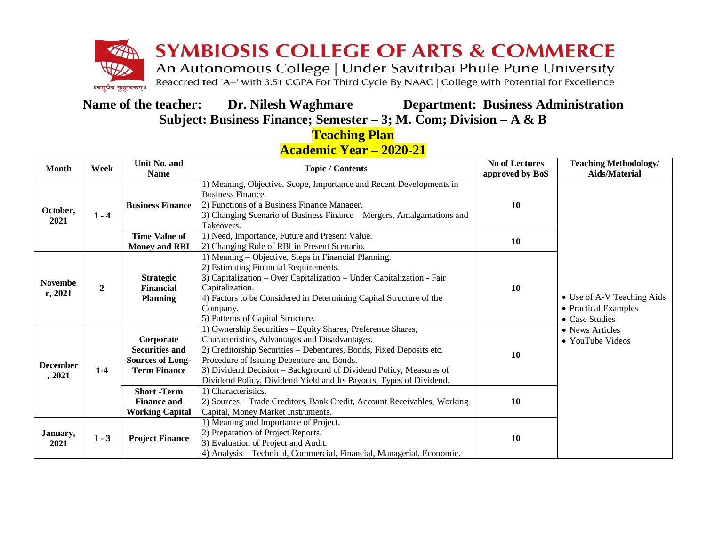

**Name of the teacher: Dr. Nilesh Waghmare Department: Business Administration Subject: Business Finance; Semester – 3; M. Com; Division – A & B**

> **Teaching Plan Academic Year – 2020-21**

| <b>Month</b><br>Week        |                                                                                               | Unit No. and                                                      | <b>Topic / Contents</b>                                                                                                                                                                                                                                                                                                                                                       | <b>No of Lectures</b> | <b>Teaching Methodology/</b>                                         |
|-----------------------------|-----------------------------------------------------------------------------------------------|-------------------------------------------------------------------|-------------------------------------------------------------------------------------------------------------------------------------------------------------------------------------------------------------------------------------------------------------------------------------------------------------------------------------------------------------------------------|-----------------------|----------------------------------------------------------------------|
|                             |                                                                                               | <b>Name</b>                                                       |                                                                                                                                                                                                                                                                                                                                                                               | approved by BoS       | <b>Aids/Material</b>                                                 |
| October,<br>$1 - 4$<br>2021 |                                                                                               | <b>Business Finance</b>                                           | 1) Meaning, Objective, Scope, Importance and Recent Developments in<br><b>Business Finance.</b><br>2) Functions of a Business Finance Manager.<br>3) Changing Scenario of Business Finance - Mergers, Amalgamations and<br>Takeovers.                                                                                                                                         | 10                    |                                                                      |
|                             |                                                                                               | Time Value of<br><b>Money and RBI</b>                             | 1) Need, Importance, Future and Present Value.<br>2) Changing Role of RBI in Present Scenario.                                                                                                                                                                                                                                                                                | 10                    |                                                                      |
| <b>Novembe</b><br>r, 2021   | $\mathbf{2}$                                                                                  | <b>Strategic</b><br><b>Financial</b><br><b>Planning</b>           | 1) Meaning – Objective, Steps in Financial Planning.<br>2) Estimating Financial Requirements.<br>3) Capitalization - Over Capitalization - Under Capitalization - Fair<br>Capitalization.<br>4) Factors to be Considered in Determining Capital Structure of the<br>Company.<br>5) Patterns of Capital Structure.                                                             | 10                    | • Use of A-V Teaching Aids<br>• Practical Examples<br>• Case Studies |
| <b>December</b><br>, 2021   | Corporate<br><b>Securities and</b><br><b>Sources of Long-</b><br>$1-4$<br><b>Term Finance</b> |                                                                   | 1) Ownership Securities - Equity Shares, Preference Shares,<br>Characteristics, Advantages and Disadvantages.<br>2) Creditorship Securities – Debentures, Bonds, Fixed Deposits etc.<br>Procedure of Issuing Debenture and Bonds.<br>3) Dividend Decision – Background of Dividend Policy, Measures of<br>Dividend Policy, Dividend Yield and Its Payouts, Types of Dividend. | 10                    | • News Articles<br>• YouTube Videos                                  |
|                             |                                                                                               | <b>Short-Term</b><br><b>Finance and</b><br><b>Working Capital</b> | 1) Characteristics.<br>2) Sources - Trade Creditors, Bank Credit, Account Receivables, Working<br>Capital, Money Market Instruments.                                                                                                                                                                                                                                          | 10                    |                                                                      |
| January,<br>2021            | $1 - 3$                                                                                       | <b>Project Finance</b>                                            | 1) Meaning and Importance of Project.<br>2) Preparation of Project Reports.<br>3) Evaluation of Project and Audit.<br>4) Analysis - Technical, Commercial, Financial, Managerial, Economic.                                                                                                                                                                                   | 10                    |                                                                      |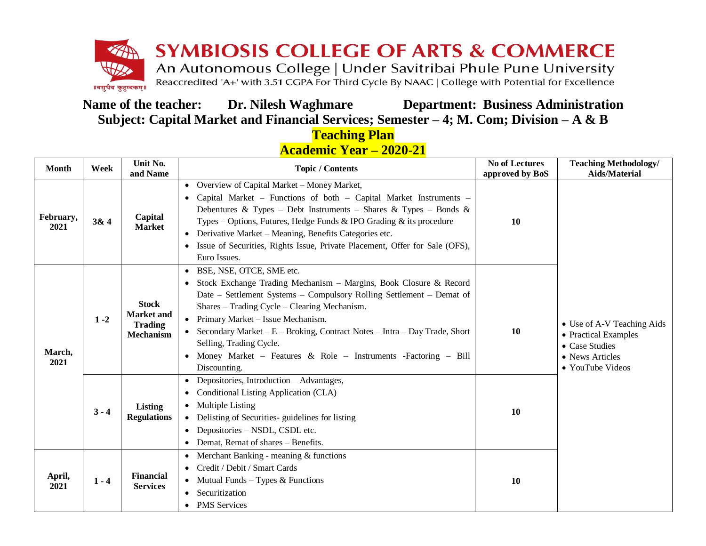

**Name of the teacher: Dr. Nilesh Waghmare Department: Business Administration Subject: Capital Market and Financial Services; Semester – 4; M. Com; Division – A & B**

### **Teaching Plan Academic Year – 2020-21**

| <b>Month</b>      | Week    | Unit No.<br>and Name                                                    | <b>Topic / Contents</b>                                                                                                                                                                                                                                                                                                                                                                                                                                           | <b>No of Lectures</b><br>approved by BoS | <b>Teaching Methodology/</b><br><b>Aids/Material</b>                                                        |
|-------------------|---------|-------------------------------------------------------------------------|-------------------------------------------------------------------------------------------------------------------------------------------------------------------------------------------------------------------------------------------------------------------------------------------------------------------------------------------------------------------------------------------------------------------------------------------------------------------|------------------------------------------|-------------------------------------------------------------------------------------------------------------|
| February,<br>2021 | 3&4     | Capital<br><b>Market</b>                                                | • Overview of Capital Market – Money Market,<br>• Capital Market – Functions of both – Capital Market Instruments –<br>Debentures & Types - Debt Instruments - Shares & Types - Bonds &<br>Types – Options, Futures, Hedge Funds & IPO Grading $\&$ its procedure<br>• Derivative Market - Meaning, Benefits Categories etc.<br>• Issue of Securities, Rights Issue, Private Placement, Offer for Sale (OFS),<br>Euro Issues.                                     |                                          |                                                                                                             |
| March,<br>2021    | $1 - 2$ | <b>Stock</b><br><b>Market and</b><br><b>Trading</b><br><b>Mechanism</b> | • BSE, NSE, OTCE, SME etc.<br>• Stock Exchange Trading Mechanism - Margins, Book Closure & Record<br>Date - Settlement Systems - Compulsory Rolling Settlement - Demat of<br>Shares – Trading Cycle – Clearing Mechanism.<br>• Primary Market - Issue Mechanism.<br>• Secondary Market – $E$ – Broking, Contract Notes – Intra – Day Trade, Short<br>Selling, Trading Cycle.<br>• Money Market - Features & Role - Instruments - Factoring - Bill<br>Discounting. | 10                                       | • Use of A-V Teaching Aids<br>• Practical Examples<br>• Case Studies<br>• News Articles<br>• YouTube Videos |
|                   | $3 - 4$ | Listing<br><b>Regulations</b>                                           | • Depositories, Introduction - Advantages,<br>• Conditional Listing Application (CLA)<br>• Multiple Listing<br>• Delisting of Securities- guidelines for listing<br>• Depositories – NSDL, CSDL etc.<br>• Demat, Remat of shares – Benefits.                                                                                                                                                                                                                      | <b>10</b>                                |                                                                                                             |
| April,<br>2021    | $1 - 4$ | <b>Financial</b><br><b>Services</b>                                     | • Merchant Banking - meaning $&$ functions<br>• Credit / Debit / Smart Cards<br>• Mutual Funds – Types & Functions<br>• Securitization<br>• PMS Services                                                                                                                                                                                                                                                                                                          | 10                                       |                                                                                                             |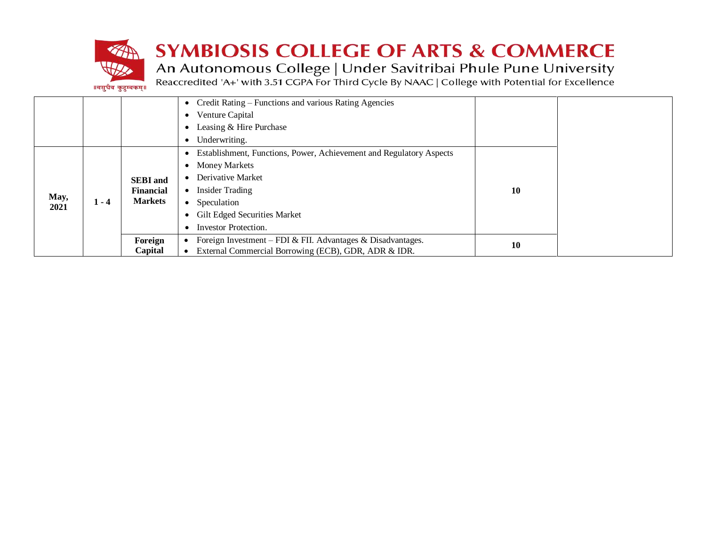

## **SYMBIOSIS COLLEGE OF ARTS & COMMERCE**

An Autonomous College | Under Savitribai Phule Pune University<br>Reaccredited 'A+' with 3.51 CGPA For Third Cycle By NAAC | College with Potential for Excellence

|  | ॥वसुधैव कुटुम्बकम्॥ |  |
|--|---------------------|--|
|--|---------------------|--|

| • Credit Rating – Functions and various Rating Agencies |         |                                                       |                                                                     |           |  |
|---------------------------------------------------------|---------|-------------------------------------------------------|---------------------------------------------------------------------|-----------|--|
|                                                         |         |                                                       | Venture Capital<br>$\bullet$                                        |           |  |
|                                                         |         |                                                       | Leasing & Hire Purchase                                             |           |  |
|                                                         |         |                                                       | Underwriting.                                                       |           |  |
|                                                         |         |                                                       | Establishment, Functions, Power, Achievement and Regulatory Aspects |           |  |
|                                                         | $1 - 4$ | <b>SEBI</b> and<br><b>Financial</b><br><b>Markets</b> | <b>Money Markets</b><br>$\bullet$                                   |           |  |
|                                                         |         |                                                       | Derivative Market                                                   |           |  |
|                                                         |         |                                                       | <b>Insider Trading</b><br>$\bullet$                                 | <b>10</b> |  |
| May,<br>2021                                            |         |                                                       | Speculation<br>$\bullet$                                            |           |  |
|                                                         |         |                                                       | <b>Gilt Edged Securities Market</b>                                 |           |  |
|                                                         |         |                                                       | Investor Protection.                                                |           |  |
|                                                         |         | Foreign                                               | Foreign Investment – FDI & FII. Advantages & Disadvantages.         |           |  |
|                                                         |         | Capital                                               | External Commercial Borrowing (ECB), GDR, ADR & IDR.                | 10        |  |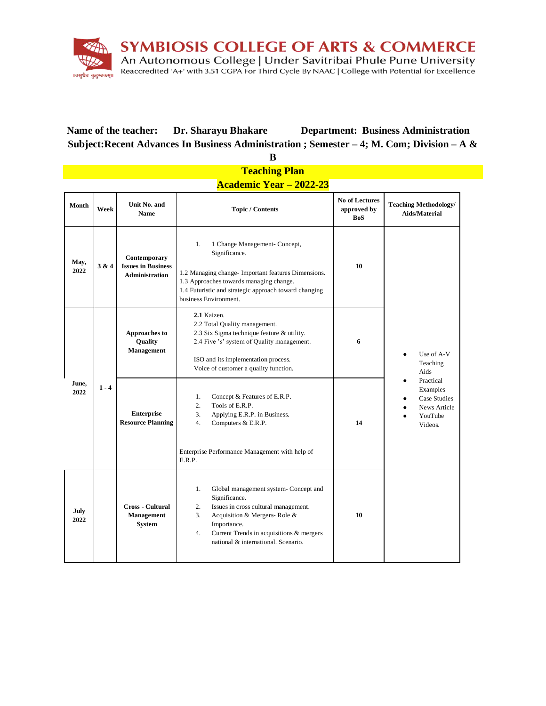

**Name of the teacher: Dr. Sharayu Bhakare Department: Business Administration Subject:Recent Advances In Business Administration ; Semester – 4; M. Com; Division – A &** 

**B**

| <b>Teaching Plan</b> |                                |                                                                    |                                                                                                                                                                                                                                                         |                                                    |                                                                                                                                         |  |  |  |
|----------------------|--------------------------------|--------------------------------------------------------------------|---------------------------------------------------------------------------------------------------------------------------------------------------------------------------------------------------------------------------------------------------------|----------------------------------------------------|-----------------------------------------------------------------------------------------------------------------------------------------|--|--|--|
|                      | <b>Academic Year - 2022-23</b> |                                                                    |                                                                                                                                                                                                                                                         |                                                    |                                                                                                                                         |  |  |  |
| Month                | Week                           | Unit No. and<br><b>Name</b>                                        | <b>Topic / Contents</b>                                                                                                                                                                                                                                 | <b>No of Lectures</b><br>approved by<br><b>BoS</b> | <b>Teaching Methodology/</b><br>Aids/Material                                                                                           |  |  |  |
| May,<br>2022         | 3 & 4                          | Contemporary<br><b>Issues in Business</b><br><b>Administration</b> | 1.<br>1 Change Management- Concept,<br>Significance.<br>1.2 Managing change- Important features Dimensions.<br>1.3 Approaches towards managing change.<br>1.4 Futuristic and strategic approach toward changing<br>business Environment.                | 10                                                 |                                                                                                                                         |  |  |  |
| June,<br>2022        |                                | <b>Approaches to</b><br>Quality<br>Management                      | 2.1 Kaizen.<br>2.2 Total Quality management.<br>2.3 Six Sigma technique feature & utility.<br>2.4 Five 's' system of Quality management.<br>ISO and its implementation process.<br>Voice of customer a quality function.                                | 6<br>14                                            | Use of A-V<br>$\bullet$<br>Teaching<br>Aids<br>Practical<br>$\bullet$<br>Examples<br>Case Studies<br>News Article<br>YouTube<br>Videos. |  |  |  |
|                      | $1 - 4$                        | <b>Enterprise</b><br><b>Resource Planning</b>                      | 1.<br>Concept & Features of E.R.P.<br>$\overline{2}$ .<br>Tools of E.R.P.<br>3.<br>Applying E.R.P. in Business.<br>4.<br>Computers & E.R.P.<br>Enterprise Performance Management with help of<br>E.R.P.                                                 |                                                    |                                                                                                                                         |  |  |  |
| July<br>2022         |                                | <b>Cross - Cultural</b><br><b>Management</b><br><b>System</b>      | 1.<br>Global management system-Concept and<br>Significance.<br>2.<br>Issues in cross cultural management.<br>3.<br>Acquisition & Mergers-Role &<br>Importance.<br>Current Trends in acquisitions & mergers<br>4.<br>national & international. Scenario. | 10                                                 |                                                                                                                                         |  |  |  |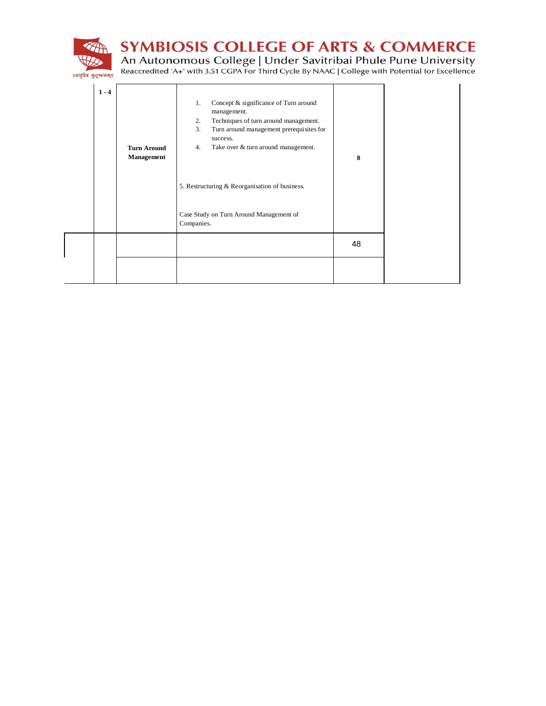

**SYMBIOSIS COLLEGE OF ARTS & COMMERCE** 

An Autonomous College | Under Savitribai Phule Pune University<br>Reaccredited 'A+' with 3.51 CGPA For Third Cycle By NAAC | College with Potential for Excellence

।।वसुधैव कुटुम्बकम्॥

| $1 - 4$ | <b>Turn Around</b><br>Management | Concept & significance of Turn around<br>1.<br>management.<br>Techniques of turn around management.<br>2.<br>3.<br>Turn around management prerequisites for<br>success.<br>Take over & turn around management.<br>4.<br>5. Restructuring & Reorganisation of business.<br>Case Study on Turn Around Management of<br>Companies. | 8  |  |
|---------|----------------------------------|---------------------------------------------------------------------------------------------------------------------------------------------------------------------------------------------------------------------------------------------------------------------------------------------------------------------------------|----|--|
|         |                                  |                                                                                                                                                                                                                                                                                                                                 | 48 |  |
|         |                                  |                                                                                                                                                                                                                                                                                                                                 |    |  |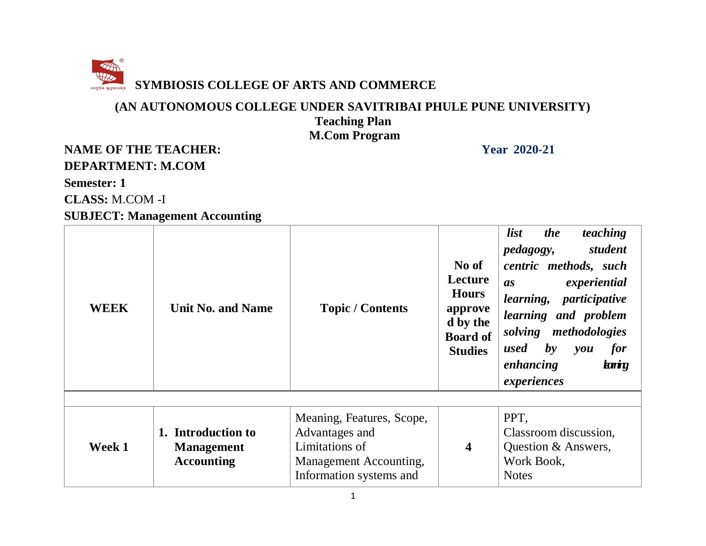

#### **(AN AUTONOMOUS COLLEGE UNDER SAVITRIBAI PHULE PUNE UNIVERSITY) Teaching Plan M.Com Program**

### **NAME OF THE TEACHER:** Year 2020-21 **DEPARTMENT: M.COM**

#### **Semester: 1**

**CLASS:** M.COM -I

#### **SUBJECT: Management Accounting**

| <b>WEEK</b> | <b>Unit No. and Name</b>                                     | <b>Topic / Contents</b>                                                                                            | No of<br>Lecture<br><b>Hours</b><br>approve<br>d by the<br><b>Board of</b><br><b>Studies</b> | teaching<br><i>list</i><br><i>the</i><br>student<br><i>pedagogy</i> ,<br>centric methods, such<br>experiential<br><i>as</i><br>learning, participative<br>learning and problem<br>solving methodologies<br>used<br>$\bm{b}$ y<br>for<br>you<br>enhancing<br>kning<br>experiences |
|-------------|--------------------------------------------------------------|--------------------------------------------------------------------------------------------------------------------|----------------------------------------------------------------------------------------------|----------------------------------------------------------------------------------------------------------------------------------------------------------------------------------------------------------------------------------------------------------------------------------|
|             |                                                              |                                                                                                                    |                                                                                              |                                                                                                                                                                                                                                                                                  |
| Week 1      | 1. Introduction to<br><b>Management</b><br><b>Accounting</b> | Meaning, Features, Scope,<br>Advantages and<br>Limitations of<br>Management Accounting,<br>Information systems and | $\overline{\mathbf{4}}$                                                                      | PPT,<br>Classroom discussion,<br>Question & Answers,<br>Work Book,<br><b>Notes</b>                                                                                                                                                                                               |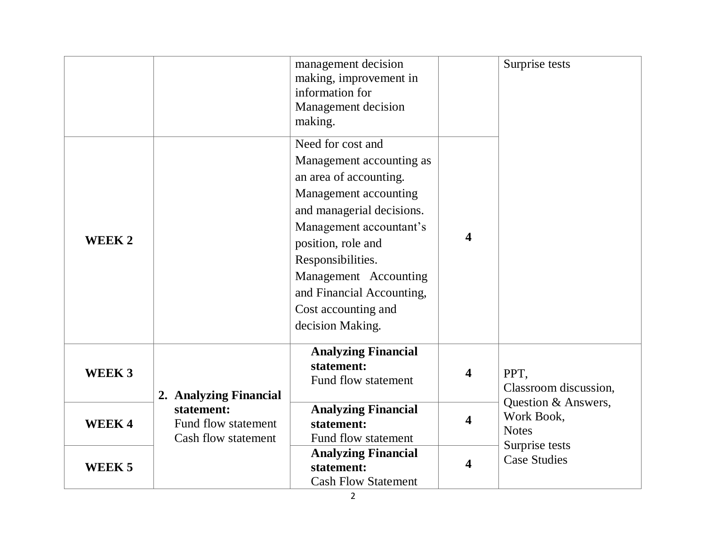| WEEK 2            |                                                          | management decision<br>making, improvement in<br>information for<br>Management decision<br>making.<br>Need for cost and<br>Management accounting as<br>an area of accounting.<br>Management accounting<br>and managerial decisions.<br>Management accountant's<br>position, role and<br>Responsibilities.<br>Management Accounting<br>and Financial Accounting,<br>Cost accounting and<br>decision Making. | 4 | Surprise tests                                    |
|-------------------|----------------------------------------------------------|------------------------------------------------------------------------------------------------------------------------------------------------------------------------------------------------------------------------------------------------------------------------------------------------------------------------------------------------------------------------------------------------------------|---|---------------------------------------------------|
| WEEK <sub>3</sub> | 2. Analyzing Financial                                   | <b>Analyzing Financial</b><br>statement:<br>Fund flow statement                                                                                                                                                                                                                                                                                                                                            | 4 | PPT,<br>Classroom discussion,                     |
| <b>WEEK4</b>      | statement:<br>Fund flow statement<br>Cash flow statement | <b>Analyzing Financial</b><br>statement:<br>Fund flow statement                                                                                                                                                                                                                                                                                                                                            | 4 | Question & Answers,<br>Work Book,<br><b>Notes</b> |
| WEEK <sub>5</sub> |                                                          | <b>Analyzing Financial</b><br>statement:<br><b>Cash Flow Statement</b>                                                                                                                                                                                                                                                                                                                                     | 4 | Surprise tests<br><b>Case Studies</b>             |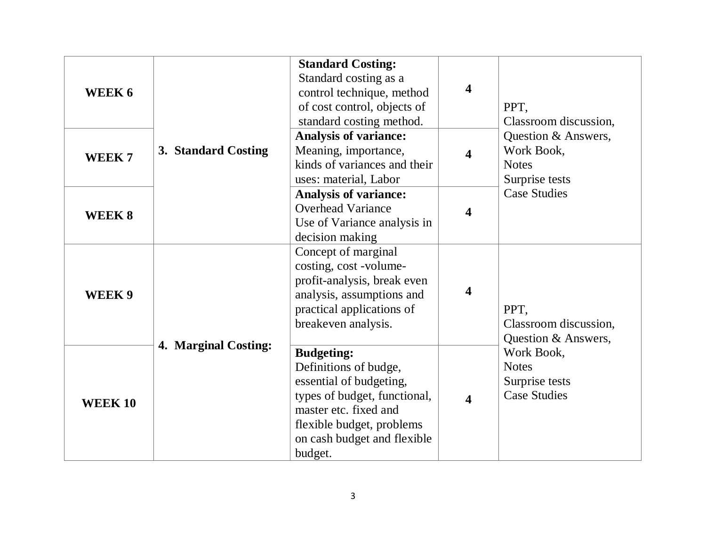| WEEK 6            | 3. Standard Costing  | <b>Standard Costing:</b><br>Standard costing as a<br>control technique, method<br>of cost control, objects of<br>standard costing method.                                                             | $\overline{\mathbf{4}}$ | PPT,<br>Classroom discussion,<br>Question & Answers,<br>Work Book,<br><b>Notes</b><br>Surprise tests                        |
|-------------------|----------------------|-------------------------------------------------------------------------------------------------------------------------------------------------------------------------------------------------------|-------------------------|-----------------------------------------------------------------------------------------------------------------------------|
| WEEK <sub>7</sub> |                      | <b>Analysis of variance:</b><br>Meaning, importance,<br>kinds of variances and their<br>uses: material, Labor                                                                                         | 4                       |                                                                                                                             |
| WEEK 8            |                      | <b>Analysis of variance:</b><br><b>Overhead Variance</b><br>Use of Variance analysis in<br>decision making                                                                                            | 4                       | <b>Case Studies</b>                                                                                                         |
| WEEK 9            | 4. Marginal Costing: | Concept of marginal<br>costing, cost -volume-<br>profit-analysis, break even<br>analysis, assumptions and<br>practical applications of<br>breakeven analysis.                                         | $\overline{\mathbf{4}}$ | PPT,<br>Classroom discussion,<br>Question & Answers,<br>Work Book,<br><b>Notes</b><br>Surprise tests<br><b>Case Studies</b> |
| <b>WEEK 10</b>    |                      | <b>Budgeting:</b><br>Definitions of budge,<br>essential of budgeting,<br>types of budget, functional,<br>master etc. fixed and<br>flexible budget, problems<br>on cash budget and flexible<br>budget. | $\overline{\mathbf{4}}$ |                                                                                                                             |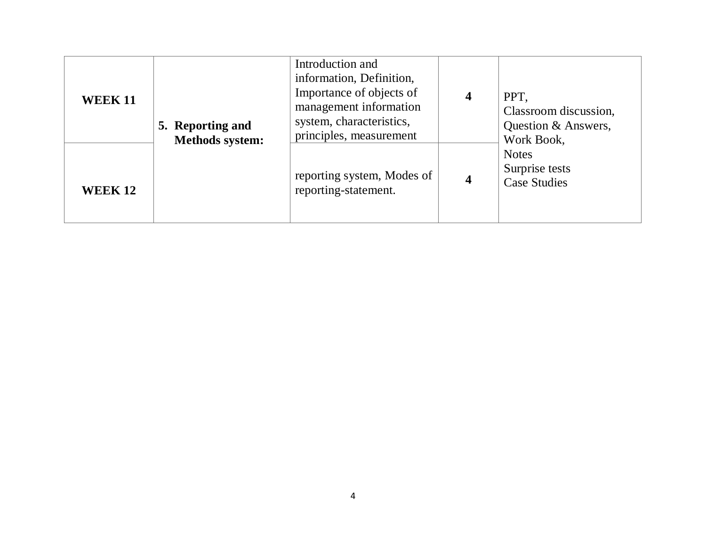| <b>WEEK 11</b> | 5. Reporting and<br><b>Methods system:</b> | Introduction and<br>information, Definition,<br>Importance of objects of<br>management information<br>system, characteristics,<br>principles, measurement | $\overline{\mathbf{4}}$ | PPT,<br>Classroom discussion,<br>Question & Answers,<br>Work Book, |
|----------------|--------------------------------------------|-----------------------------------------------------------------------------------------------------------------------------------------------------------|-------------------------|--------------------------------------------------------------------|
| <b>WEEK 12</b> |                                            | reporting system, Modes of<br>reporting-statement.                                                                                                        | 4                       | <b>Notes</b><br>Surprise tests<br><b>Case Studies</b>              |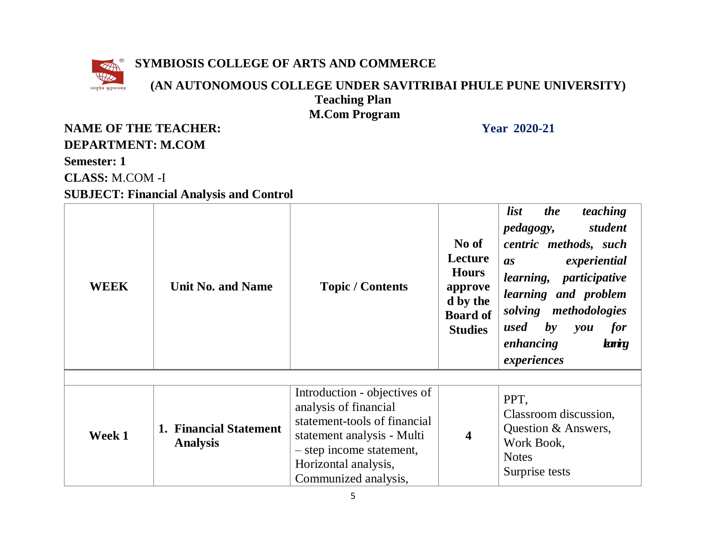

#### **SYMBIOSIS COLLEGE OF ARTS AND COMMERCE**

#### **(AN AUTONOMOUS COLLEGE UNDER SAVITRIBAI PHULE PUNE UNIVERSITY) Teaching Plan M.Com Program**

#### **NAME OF THE TEACHER:** Year 2020-21 **DEPARTMENT: M.COM**

**Semester: 1**

**CLASS:** M.COM -I

#### **SUBJECT: Financial Analysis and Control**

| <b>WEEK</b> | <b>Unit No. and Name</b>                  | <b>Topic / Contents</b>                                                                                                                                                                         | No of<br>Lecture<br><b>Hours</b><br>approve<br>d by the<br><b>Board of</b><br><b>Studies</b> | teaching<br><i>list</i><br><i>the</i><br>student<br><i>pedagogy,</i><br>centric methods, such<br>experiential<br>as<br>learning, participative<br>learning and problem<br>solving methodologies<br>$\mathbf{b}$ y<br>used<br>for<br>you<br>knig<br>enhancing<br>experiences |
|-------------|-------------------------------------------|-------------------------------------------------------------------------------------------------------------------------------------------------------------------------------------------------|----------------------------------------------------------------------------------------------|-----------------------------------------------------------------------------------------------------------------------------------------------------------------------------------------------------------------------------------------------------------------------------|
| Week 1      | 1. Financial Statement<br><b>Analysis</b> | Introduction - objectives of<br>analysis of financial<br>statement-tools of financial<br>statement analysis - Multi<br>- step income statement,<br>Horizontal analysis,<br>Communized analysis, | $\overline{\mathbf{4}}$                                                                      | PPT,<br>Classroom discussion,<br>Question & Answers,<br>Work Book,<br><b>Notes</b><br>Surprise tests                                                                                                                                                                        |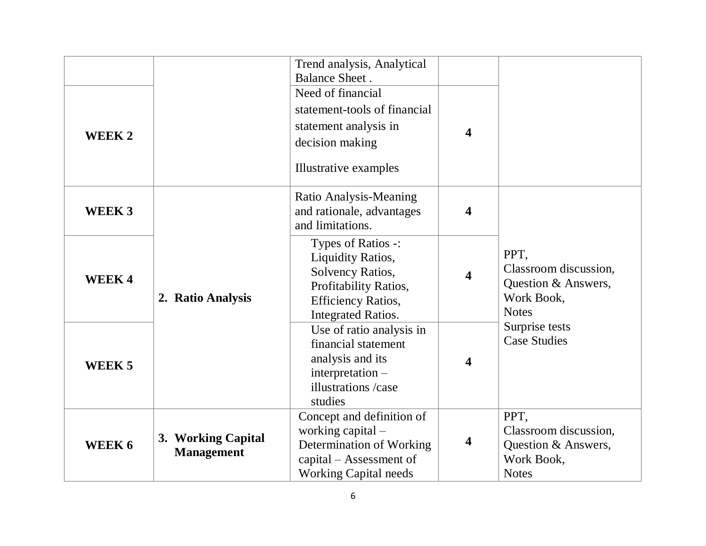| WEEK 2            |                                         | Trend analysis, Analytical<br><b>Balance Sheet</b> .<br>Need of financial<br>statement-tools of financial<br>statement analysis in<br>decision making<br>Illustrative examples | $\overline{\mathbf{4}}$ |                                                                                    |
|-------------------|-----------------------------------------|--------------------------------------------------------------------------------------------------------------------------------------------------------------------------------|-------------------------|------------------------------------------------------------------------------------|
| WEEK <sub>3</sub> |                                         | Ratio Analysis-Meaning<br>and rationale, advantages<br>and limitations.                                                                                                        | 4                       |                                                                                    |
| <b>WEEK4</b>      | 2. Ratio Analysis                       | Types of Ratios -:<br>Liquidity Ratios,<br>Solvency Ratios,<br>Profitability Ratios,<br><b>Efficiency Ratios,</b><br><b>Integrated Ratios.</b>                                 | 4                       | PPT,<br>Classroom discussion,<br>Question & Answers,<br>Work Book,<br><b>Notes</b> |
| WEEK <sub>5</sub> |                                         | Use of ratio analysis in<br>financial statement<br>analysis and its<br>$interpretation -$<br>illustrations /case<br>studies                                                    | $\overline{\mathbf{4}}$ | Surprise tests<br><b>Case Studies</b>                                              |
| WEEK 6            | 3. Working Capital<br><b>Management</b> | Concept and definition of<br>working capital -<br>Determination of Working<br>capital – Assessment of<br><b>Working Capital needs</b>                                          | 4                       | PPT,<br>Classroom discussion,<br>Question & Answers,<br>Work Book,<br><b>Notes</b> |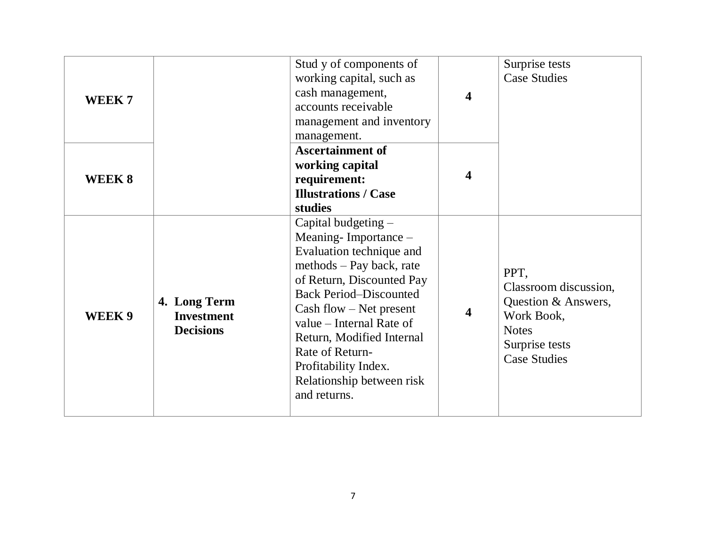| WEEK <sub>7</sub> |                                                       | Stud y of components of<br>working capital, such as<br>cash management,<br>accounts receivable<br>management and inventory<br>management.                                                                                                                                                                                                         | $\overline{\mathbf{4}}$ | Surprise tests<br><b>Case Studies</b>                                                                                       |
|-------------------|-------------------------------------------------------|---------------------------------------------------------------------------------------------------------------------------------------------------------------------------------------------------------------------------------------------------------------------------------------------------------------------------------------------------|-------------------------|-----------------------------------------------------------------------------------------------------------------------------|
| WEEK 8            |                                                       | <b>Ascertainment of</b><br>working capital<br>requirement:<br><b>Illustrations / Case</b><br>studies                                                                                                                                                                                                                                              | 4                       |                                                                                                                             |
| WEEK 9            | 4. Long Term<br><b>Investment</b><br><b>Decisions</b> | Capital budgeting -<br>Meaning-Importance $-$<br>Evaluation technique and<br>methods - Pay back, rate<br>of Return, Discounted Pay<br><b>Back Period-Discounted</b><br>$Cash flow - Net present$<br>value – Internal Rate of<br>Return, Modified Internal<br>Rate of Return-<br>Profitability Index.<br>Relationship between risk<br>and returns. | 4                       | PPT,<br>Classroom discussion,<br>Question & Answers,<br>Work Book,<br><b>Notes</b><br>Surprise tests<br><b>Case Studies</b> |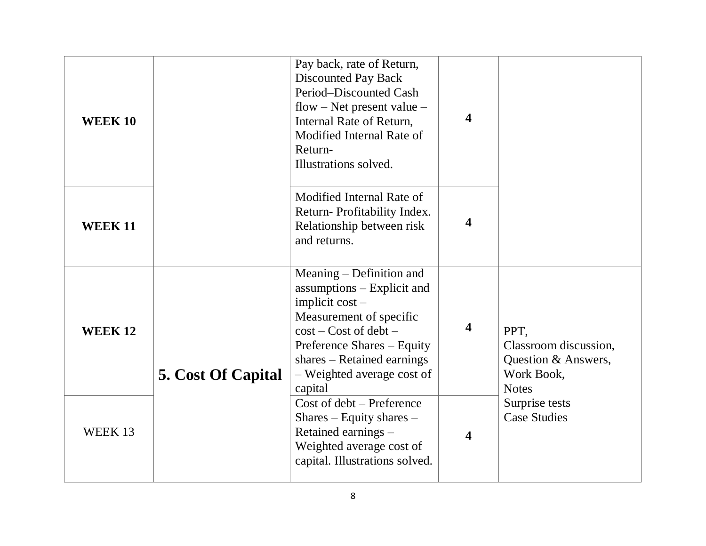| <b>WEEK 10</b> |                           | Pay back, rate of Return,<br><b>Discounted Pay Back</b><br>Period-Discounted Cash<br>flow – Net present value –<br>Internal Rate of Return,<br>Modified Internal Rate of<br>Return-<br>Illustrations solved.                             | 4                       |                                                                                    |
|----------------|---------------------------|------------------------------------------------------------------------------------------------------------------------------------------------------------------------------------------------------------------------------------------|-------------------------|------------------------------------------------------------------------------------|
| <b>WEEK 11</b> |                           | Modified Internal Rate of<br>Return-Profitability Index.<br>Relationship between risk<br>and returns.                                                                                                                                    | 4                       |                                                                                    |
| <b>WEEK12</b>  | <b>5. Cost Of Capital</b> | Meaning – Definition and<br>assumptions – Explicit and<br>implicit $cost -$<br>Measurement of specific<br>$cost - Cost of debt -$<br>Preference Shares – Equity<br>$shares - Retained earnings$<br>- Weighted average cost of<br>capital | $\overline{\mathbf{4}}$ | PPT,<br>Classroom discussion,<br>Question & Answers,<br>Work Book,<br><b>Notes</b> |
| WEEK 13        |                           | Cost of debt - Preference<br>Shares $-$ Equity shares $-$<br>Retained earnings -<br>Weighted average cost of<br>capital. Illustrations solved.                                                                                           | 4                       | Surprise tests<br><b>Case Studies</b>                                              |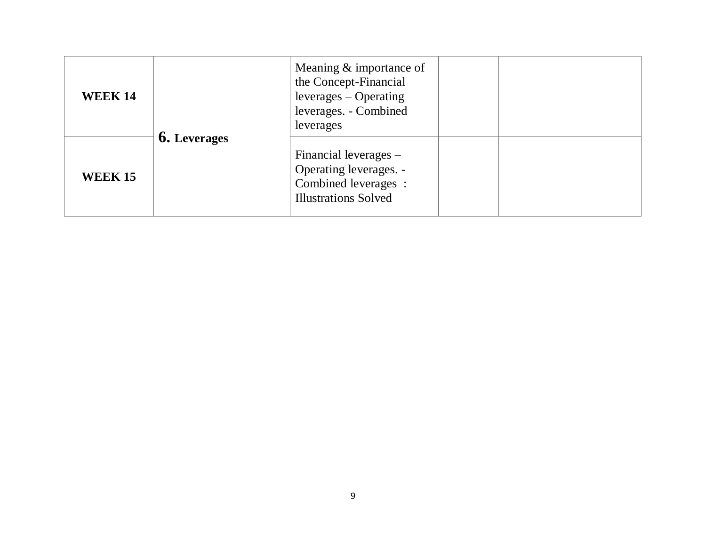| <b>WEEK 14</b> |                     | Meaning & importance of<br>the Concept-Financial<br>$leverages - Operating$<br>leverages. - Combined<br>leverages |  |
|----------------|---------------------|-------------------------------------------------------------------------------------------------------------------|--|
| <b>WEEK 15</b> | <b>6.</b> Leverages | Financial leverages $-$<br>Operating leverages. -<br>Combined leverages :<br><b>Illustrations Solved</b>          |  |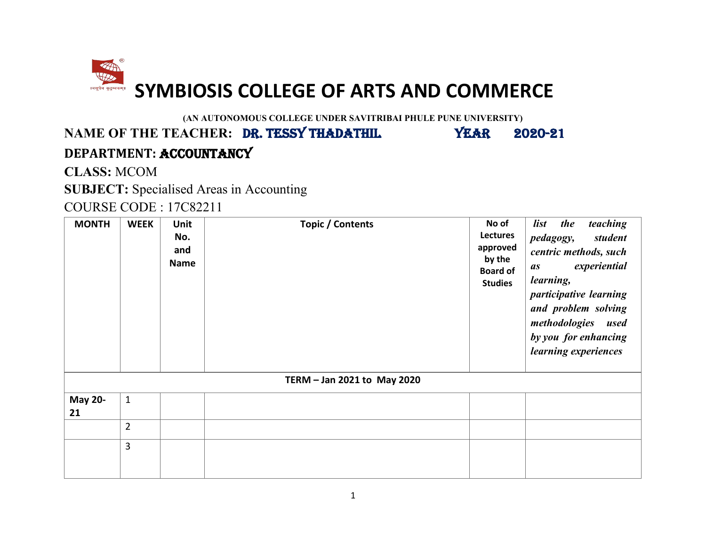<span id="page-17-0"></span>

**(AN AUTONOMOUS COLLEGE UNDER SAVITRIBAI PHULE PUNE UNIVERSITY)**

### NAME OF THE TEACHER: DR. TESSY THADATHIL YEAR 2020-21 **DEPARTMENT:** ACCOUNTANCY

**CLASS:** MCOM

**SUBJECT:** Specialised Areas in Accounting

COURSE CODE : 17C82211

| <b>MONTH</b>         | <b>WEEK</b>    | Unit<br>No.<br>and<br><b>Name</b> | Topic / Contents            | No of<br>Lectures<br>approved<br>by the<br><b>Board of</b><br><b>Studies</b> | teaching<br>list<br>the<br>student<br>pedagogy,<br>centric methods, such<br>experiential<br>as<br>learning,<br>participative learning<br>and problem solving<br>methodologies used<br>by you for enhancing<br>learning experiences |
|----------------------|----------------|-----------------------------------|-----------------------------|------------------------------------------------------------------------------|------------------------------------------------------------------------------------------------------------------------------------------------------------------------------------------------------------------------------------|
|                      |                |                                   | TERM - Jan 2021 to May 2020 |                                                                              |                                                                                                                                                                                                                                    |
| <b>May 20-</b><br>21 | $\mathbf{1}$   |                                   |                             |                                                                              |                                                                                                                                                                                                                                    |
|                      | $\overline{2}$ |                                   |                             |                                                                              |                                                                                                                                                                                                                                    |
|                      | 3              |                                   |                             |                                                                              |                                                                                                                                                                                                                                    |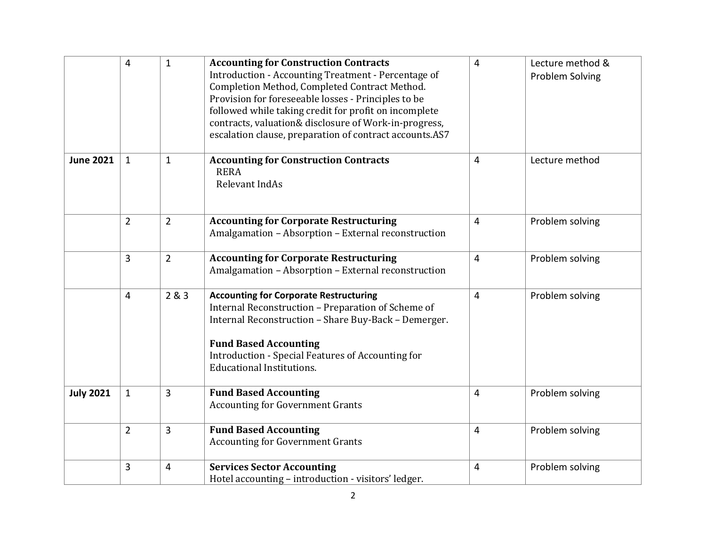|                  | $\overline{4}$ | $\mathbf{1}$   | <b>Accounting for Construction Contracts</b><br>Introduction - Accounting Treatment - Percentage of<br>Completion Method, Completed Contract Method.<br>Provision for foreseeable losses - Principles to be<br>followed while taking credit for profit on incomplete<br>contracts, valuation& disclosure of Work-in-progress,<br>escalation clause, preparation of contract accounts.AS7 | $\overline{4}$ | Lecture method &<br>Problem Solving |
|------------------|----------------|----------------|------------------------------------------------------------------------------------------------------------------------------------------------------------------------------------------------------------------------------------------------------------------------------------------------------------------------------------------------------------------------------------------|----------------|-------------------------------------|
| <b>June 2021</b> | $\mathbf{1}$   | $\mathbf{1}$   | <b>Accounting for Construction Contracts</b><br><b>RERA</b><br>Relevant IndAs                                                                                                                                                                                                                                                                                                            | $\overline{4}$ | Lecture method                      |
|                  | $\overline{2}$ | $\overline{2}$ | <b>Accounting for Corporate Restructuring</b><br>Amalgamation - Absorption - External reconstruction                                                                                                                                                                                                                                                                                     | $\overline{4}$ | Problem solving                     |
|                  | 3              | $\overline{2}$ | <b>Accounting for Corporate Restructuring</b><br>Amalgamation - Absorption - External reconstruction                                                                                                                                                                                                                                                                                     | $\overline{4}$ | Problem solving                     |
|                  | $\overline{4}$ | 2&3            | <b>Accounting for Corporate Restructuring</b><br>Internal Reconstruction - Preparation of Scheme of<br>Internal Reconstruction - Share Buy-Back - Demerger.<br><b>Fund Based Accounting</b><br>Introduction - Special Features of Accounting for<br><b>Educational Institutions.</b>                                                                                                     | $\overline{4}$ | Problem solving                     |
| <b>July 2021</b> | $\mathbf{1}$   | 3              | <b>Fund Based Accounting</b><br><b>Accounting for Government Grants</b>                                                                                                                                                                                                                                                                                                                  | $\overline{4}$ | Problem solving                     |
|                  | $\overline{2}$ | 3              | <b>Fund Based Accounting</b><br><b>Accounting for Government Grants</b>                                                                                                                                                                                                                                                                                                                  | $\overline{4}$ | Problem solving                     |
|                  | 3              | $\overline{4}$ | <b>Services Sector Accounting</b><br>Hotel accounting - introduction - visitors' ledger.                                                                                                                                                                                                                                                                                                 | $\overline{4}$ | Problem solving                     |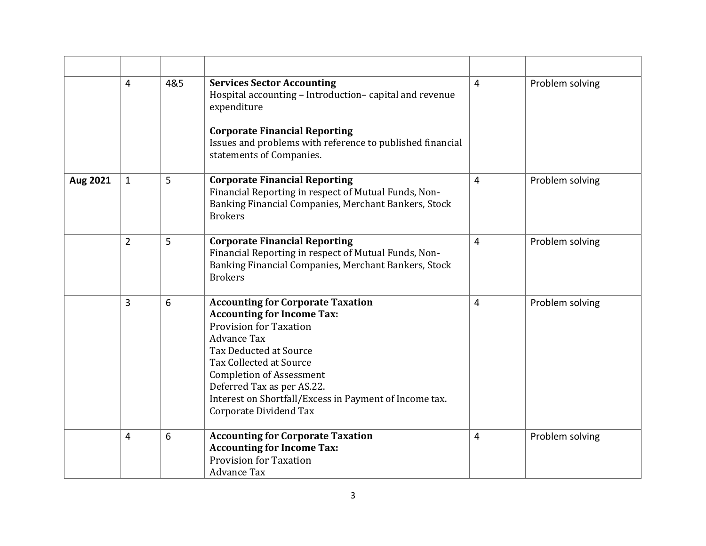|          | 4              | 4&5 | <b>Services Sector Accounting</b><br>Hospital accounting - Introduction-capital and revenue<br>expenditure<br><b>Corporate Financial Reporting</b>                                                                                                                                                                                                    | $\overline{4}$ | Problem solving |
|----------|----------------|-----|-------------------------------------------------------------------------------------------------------------------------------------------------------------------------------------------------------------------------------------------------------------------------------------------------------------------------------------------------------|----------------|-----------------|
|          |                |     | Issues and problems with reference to published financial<br>statements of Companies.                                                                                                                                                                                                                                                                 |                |                 |
| Aug 2021 | $\mathbf{1}$   | 5   | <b>Corporate Financial Reporting</b><br>Financial Reporting in respect of Mutual Funds, Non-<br>Banking Financial Companies, Merchant Bankers, Stock<br><b>Brokers</b>                                                                                                                                                                                | $\overline{4}$ | Problem solving |
|          | $\overline{2}$ | 5   | <b>Corporate Financial Reporting</b><br>Financial Reporting in respect of Mutual Funds, Non-<br>Banking Financial Companies, Merchant Bankers, Stock<br><b>Brokers</b>                                                                                                                                                                                | $\overline{4}$ | Problem solving |
|          | 3              | 6   | <b>Accounting for Corporate Taxation</b><br><b>Accounting for Income Tax:</b><br><b>Provision for Taxation</b><br><b>Advance Tax</b><br><b>Tax Deducted at Source</b><br>Tax Collected at Source<br><b>Completion of Assessment</b><br>Deferred Tax as per AS.22.<br>Interest on Shortfall/Excess in Payment of Income tax.<br>Corporate Dividend Tax | $\overline{4}$ | Problem solving |
|          | 4              | 6   | <b>Accounting for Corporate Taxation</b><br><b>Accounting for Income Tax:</b><br><b>Provision for Taxation</b><br><b>Advance Tax</b>                                                                                                                                                                                                                  | 4              | Problem solving |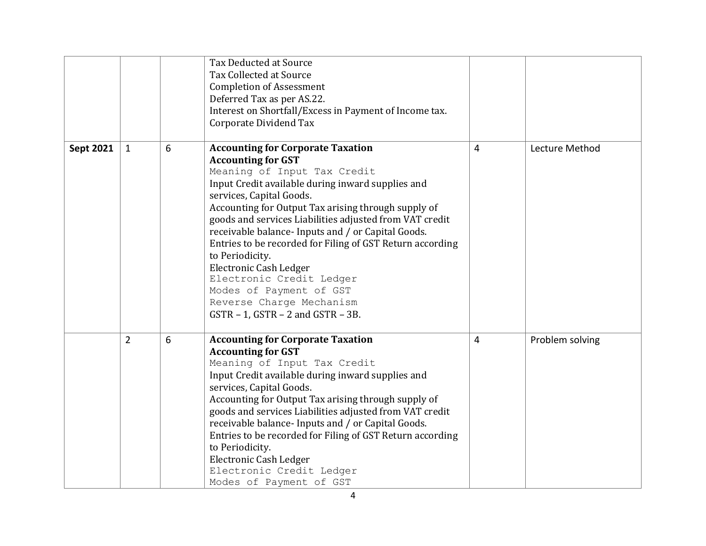|                  |                |   | Tax Deducted at Source<br>Tax Collected at Source<br><b>Completion of Assessment</b><br>Deferred Tax as per AS.22.<br>Interest on Shortfall/Excess in Payment of Income tax.<br>Corporate Dividend Tax                                                                                                                                                                                                                                                                                                                                                                                                         |   |                 |
|------------------|----------------|---|----------------------------------------------------------------------------------------------------------------------------------------------------------------------------------------------------------------------------------------------------------------------------------------------------------------------------------------------------------------------------------------------------------------------------------------------------------------------------------------------------------------------------------------------------------------------------------------------------------------|---|-----------------|
| <b>Sept 2021</b> | $\mathbf{1}$   | 6 | <b>Accounting for Corporate Taxation</b><br><b>Accounting for GST</b><br>Meaning of Input Tax Credit<br>Input Credit available during inward supplies and<br>services, Capital Goods.<br>Accounting for Output Tax arising through supply of<br>goods and services Liabilities adjusted from VAT credit<br>receivable balance- Inputs and / or Capital Goods.<br>Entries to be recorded for Filing of GST Return according<br>to Periodicity.<br><b>Electronic Cash Ledger</b><br>Electronic Credit Ledger<br>Modes of Payment of GST<br>Reverse Charge Mechanism<br>$GSTR - 1$ , $GSTR - 2$ and $GSTR - 3B$ . | 4 | Lecture Method  |
|                  | $\overline{2}$ | 6 | <b>Accounting for Corporate Taxation</b><br><b>Accounting for GST</b><br>Meaning of Input Tax Credit<br>Input Credit available during inward supplies and<br>services, Capital Goods.<br>Accounting for Output Tax arising through supply of<br>goods and services Liabilities adjusted from VAT credit<br>receivable balance- Inputs and / or Capital Goods.<br>Entries to be recorded for Filing of GST Return according<br>to Periodicity.<br><b>Electronic Cash Ledger</b><br>Electronic Credit Ledger<br>Modes of Payment of GST                                                                          | 4 | Problem solving |